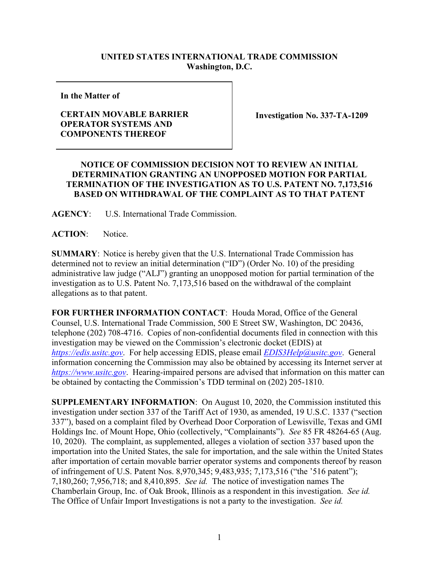## **UNITED STATES INTERNATIONAL TRADE COMMISSION Washington, D.C.**

**In the Matter of**

## **CERTAIN MOVABLE BARRIER OPERATOR SYSTEMS AND COMPONENTS THEREOF**

**Investigation No. 337-TA-1209**

## **NOTICE OF COMMISSION DECISION NOT TO REVIEW AN INITIAL DETERMINATION GRANTING AN UNOPPOSED MOTION FOR PARTIAL TERMINATION OF THE INVESTIGATION AS TO U.S. PATENT NO. 7,173,516 BASED ON WITHDRAWAL OF THE COMPLAINT AS TO THAT PATENT**

**AGENCY**: U.S. International Trade Commission.

**ACTION**: Notice.

**SUMMARY**: Notice is hereby given that the U.S. International Trade Commission has determined not to review an initial determination ("ID") (Order No. 10) of the presiding administrative law judge ("ALJ") granting an unopposed motion for partial termination of the investigation as to U.S. Patent No. 7,173,516 based on the withdrawal of the complaint allegations as to that patent.

**FOR FURTHER INFORMATION CONTACT**: Houda Morad, Office of the General Counsel, U.S. International Trade Commission, 500 E Street SW, Washington, DC 20436, telephone (202) 708-4716. Copies of non-confidential documents filed in connection with this investigation may be viewed on the Commission's electronic docket (EDIS) at *[https://edis.usitc.gov](https://edis.usitc.gov/)*. For help accessing EDIS, please email *[EDIS3Help@usitc.gov](mailto:EDIS3Help@usitc.gov)*. General information concerning the Commission may also be obtained by accessing its Internet server at *[https://www.usitc.gov](https://www.usitc.gov/)*. Hearing-impaired persons are advised that information on this matter can be obtained by contacting the Commission's TDD terminal on (202) 205-1810.

**SUPPLEMENTARY INFORMATION**: On August 10, 2020, the Commission instituted this investigation under section 337 of the Tariff Act of 1930, as amended, 19 U.S.C. 1337 ("section 337"), based on a complaint filed by Overhead Door Corporation of Lewisville, Texas and GMI Holdings Inc. of Mount Hope, Ohio (collectively, "Complainants"). *See* 85 FR 48264-65 (Aug. 10, 2020). The complaint, as supplemented, alleges a violation of section 337 based upon the importation into the United States, the sale for importation, and the sale within the United States after importation of certain movable barrier operator systems and components thereof by reason of infringement of U.S. Patent Nos. 8,970,345; 9,483,935; 7,173,516 ("the '516 patent"); 7,180,260; 7,956,718; and 8,410,895. *See id.* The notice of investigation names The Chamberlain Group, Inc. of Oak Brook, Illinois as a respondent in this investigation. *See id.* The Office of Unfair Import Investigations is not a party to the investigation. *See id.*